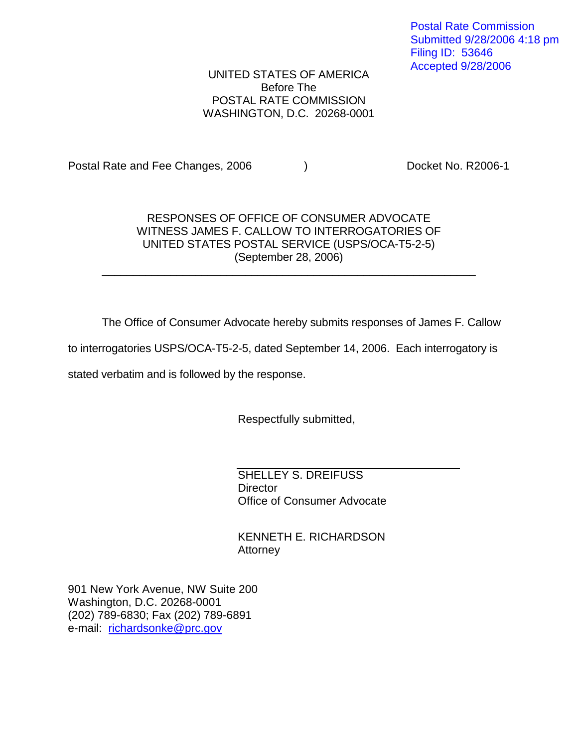### UNITED STATES OF AMERICA Before The POSTAL RATE COMMISSION WASHINGTON, D.C. 20268-0001

Postal Rate and Fee Changes, 2006 (a) (b) Docket No. R2006-1

## RESPONSES OF OFFICE OF CONSUMER ADVOCATE WITNESS JAMES F. CALLOW TO INTERROGATORIES OF UNITED STATES POSTAL SERVICE (USPS/OCA-T5-2-5) (September 28, 2006)

 $\_$  . The contribution of the contribution of  $\mathcal{L}_\mathcal{A}$  ,  $\mathcal{L}_\mathcal{A}$  ,  $\mathcal{L}_\mathcal{A}$  ,  $\mathcal{L}_\mathcal{A}$  ,  $\mathcal{L}_\mathcal{A}$  ,  $\mathcal{L}_\mathcal{A}$  ,  $\mathcal{L}_\mathcal{A}$  ,  $\mathcal{L}_\mathcal{A}$  ,  $\mathcal{L}_\mathcal{A}$  ,  $\mathcal{L}_\mathcal{A}$  ,  $\mathcal{$ 

The Office of Consumer Advocate hereby submits responses of James F. Callow

to interrogatories USPS/OCA-T5-2-5, dated September 14, 2006. Each interrogatory is

stated verbatim and is followed by the response.

Respectfully submitted,

SHELLEY S. DREIFUSS **Director** Office of Consumer Advocate

KENNETH E. RICHARDSON Attorney

901 New York Avenue, NW Suite 200 Washington, D.C. 20268-0001 (202) 789-6830; Fax (202) 789-6891 e-mail: richardsonke@prc.gov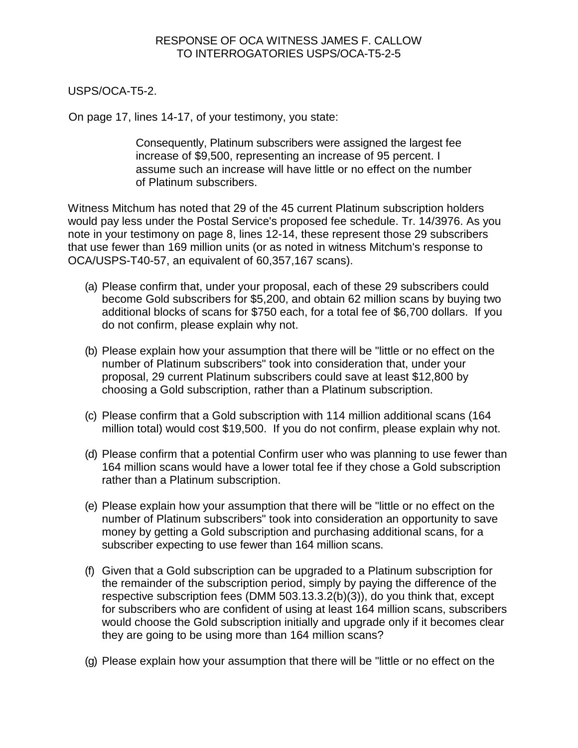USPS/OCA-T5-2.

On page 17, lines 14-17, of your testimony, you state:

Consequently, Platinum subscribers were assigned the largest fee increase of \$9,500, representing an increase of 95 percent. I assume such an increase will have little or no effect on the number of Platinum subscribers.

Witness Mitchum has noted that 29 of the 45 current Platinum subscription holders would pay less under the Postal Service's proposed fee schedule. Tr. 14/3976. As you note in your testimony on page 8, lines 12-14, these represent those 29 subscribers that use fewer than 169 million units (or as noted in witness Mitchum's response to OCA/USPS-T40-57, an equivalent of 60,357,167 scans).

- (a) Please confirm that, under your proposal, each of these 29 subscribers could become Gold subscribers for \$5,200, and obtain 62 million scans by buying two additional blocks of scans for \$750 each, for a total fee of \$6,700 dollars. If you do not confirm, please explain why not.
- (b) Please explain how your assumption that there will be "little or no effect on the number of Platinum subscribers" took into consideration that, under your proposal, 29 current Platinum subscribers could save at least \$12,800 by choosing a Gold subscription, rather than a Platinum subscription.
- (c) Please confirm that a Gold subscription with 114 million additional scans (164 million total) would cost \$19,500. If you do not confirm, please explain why not.
- (d) Please confirm that a potential Confirm user who was planning to use fewer than 164 million scans would have a lower total fee if they chose a Gold subscription rather than a Platinum subscription.
- (e) Please explain how your assumption that there will be "little or no effect on the number of Platinum subscribers" took into consideration an opportunity to save money by getting a Gold subscription and purchasing additional scans, for a subscriber expecting to use fewer than 164 million scans.
- (f) Given that a Gold subscription can be upgraded to a Platinum subscription for the remainder of the subscription period, simply by paying the difference of the respective subscription fees (DMM 503.13.3.2(b)(3)), do you think that, except for subscribers who are confident of using at least 164 million scans, subscribers would choose the Gold subscription initially and upgrade only if it becomes clear they are going to be using more than 164 million scans?
- (g) Please explain how your assumption that there will be "little or no effect on the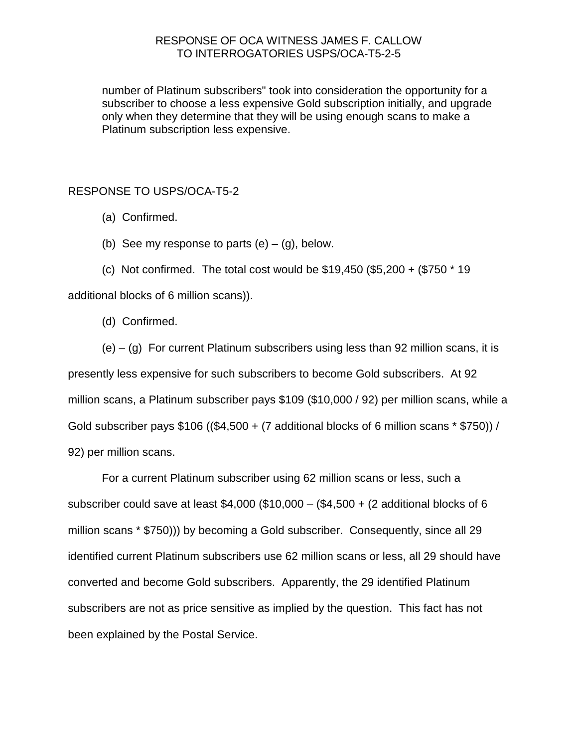number of Platinum subscribers" took into consideration the opportunity for a subscriber to choose a less expensive Gold subscription initially, and upgrade only when they determine that they will be using enough scans to make a Platinum subscription less expensive.

RESPONSE TO USPS/OCA-T5-2

- (a) Confirmed.
- (b) See my response to parts  $(e) (g)$ , below.
- (c) Not confirmed. The total cost would be \$19,450 (\$5,200 + (\$750 \* 19

additional blocks of 6 million scans)).

(d) Confirmed.

 $(e) - (g)$  For current Platinum subscribers using less than 92 million scans, it is presently less expensive for such subscribers to become Gold subscribers. At 92 million scans, a Platinum subscriber pays \$109 (\$10,000 / 92) per million scans, while a Gold subscriber pays  $$106 (($4,500 + (7 additional blocks of 6 million scans * $750)) /$ 92) per million scans.

For a current Platinum subscriber using 62 million scans or less, such a subscriber could save at least \$4,000 (\$10,000 – (\$4,500 + (2 additional blocks of 6 million scans \* \$750))) by becoming a Gold subscriber. Consequently, since all 29 identified current Platinum subscribers use 62 million scans or less, all 29 should have converted and become Gold subscribers. Apparently, the 29 identified Platinum subscribers are not as price sensitive as implied by the question. This fact has not been explained by the Postal Service.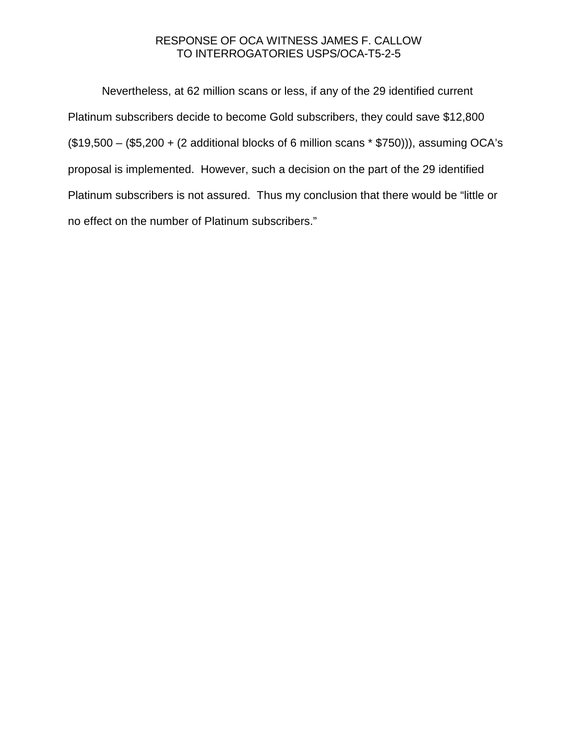Nevertheless, at 62 million scans or less, if any of the 29 identified current Platinum subscribers decide to become Gold subscribers, they could save \$12,800  $($19,500 - ($5,200 + (2 additional blocks of 6 million scans * $750))$ , assuming OCA's proposal is implemented. However, such a decision on the part of the 29 identified Platinum subscribers is not assured. Thus my conclusion that there would be "little or no effect on the number of Platinum subscribers."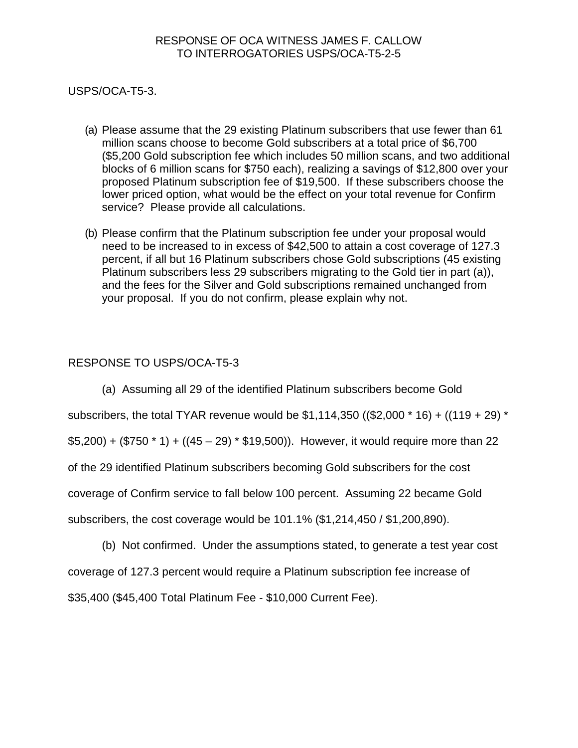USPS/OCA-T5-3.

- (a) Please assume that the 29 existing Platinum subscribers that use fewer than 61 million scans choose to become Gold subscribers at a total price of \$6,700 (\$5,200 Gold subscription fee which includes 50 million scans, and two additional blocks of 6 million scans for \$750 each), realizing a savings of \$12,800 over your proposed Platinum subscription fee of \$19,500. If these subscribers choose the lower priced option, what would be the effect on your total revenue for Confirm service? Please provide all calculations.
- (b) Please confirm that the Platinum subscription fee under your proposal would need to be increased to in excess of \$42,500 to attain a cost coverage of 127.3 percent, if all but 16 Platinum subscribers chose Gold subscriptions (45 existing Platinum subscribers less 29 subscribers migrating to the Gold tier in part (a)), and the fees for the Silver and Gold subscriptions remained unchanged from your proposal. If you do not confirm, please explain why not.

## RESPONSE TO USPS/OCA-T5-3

(a) Assuming all 29 of the identified Platinum subscribers become Gold

subscribers, the total TYAR revenue would be  $$1,114,350$  ((\$2,000  $*$  16) + ((119 + 29)  $*$ 

 $$5,200$ ) + (\$750 \* 1) + ((45 – 29) \* \$19,500)). However, it would require more than 22

of the 29 identified Platinum subscribers becoming Gold subscribers for the cost

coverage of Confirm service to fall below 100 percent. Assuming 22 became Gold

subscribers, the cost coverage would be 101.1% (\$1,214,450 / \$1,200,890).

(b) Not confirmed. Under the assumptions stated, to generate a test year cost coverage of 127.3 percent would require a Platinum subscription fee increase of \$35,400 (\$45,400 Total Platinum Fee - \$10,000 Current Fee).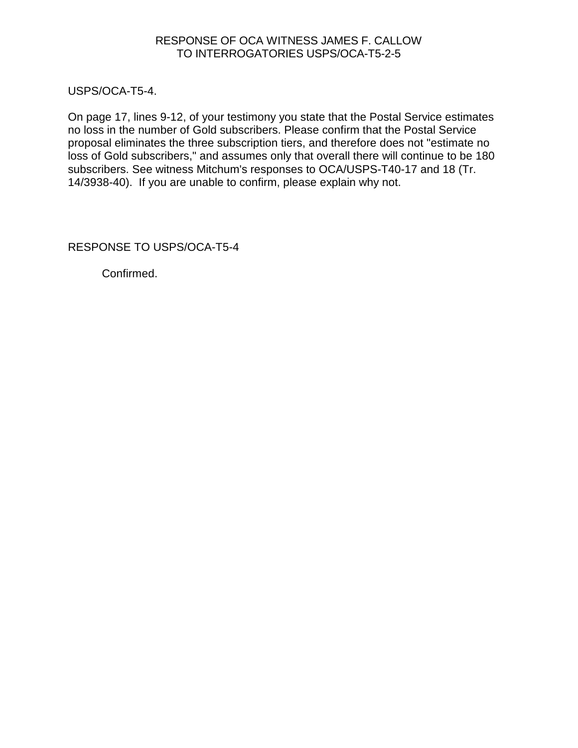USPS/OCA-T5-4.

On page 17, lines 9-12, of your testimony you state that the Postal Service estimates no loss in the number of Gold subscribers. Please confirm that the Postal Service proposal eliminates the three subscription tiers, and therefore does not "estimate no loss of Gold subscribers," and assumes only that overall there will continue to be 180 subscribers. See witness Mitchum's responses to OCA/USPS-T40-17 and 18 (Tr. 14/3938-40). If you are unable to confirm, please explain why not.

RESPONSE TO USPS/OCA-T5-4

Confirmed.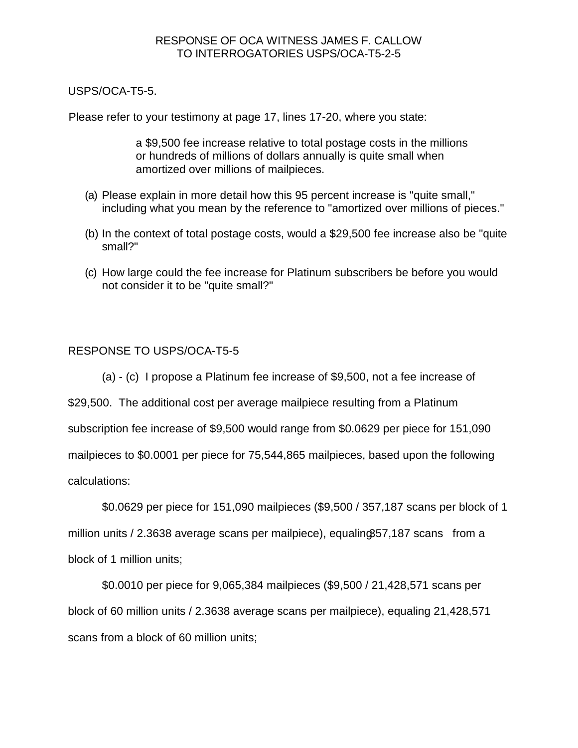USPS/OCA-T5-5.

Please refer to your testimony at page 17, lines 17-20, where you state:

a \$9,500 fee increase relative to total postage costs in the millions or hundreds of millions of dollars annually is quite small when amortized over millions of mailpieces.

- (a) Please explain in more detail how this 95 percent increase is "quite small," including what you mean by the reference to "amortized over millions of pieces."
- (b) In the context of total postage costs, would a \$29,500 fee increase also be "quite small?"
- (c) How large could the fee increase for Platinum subscribers be before you would not consider it to be "quite small?"

# RESPONSE TO USPS/OCA-T5-5

(a) - (c) I propose a Platinum fee increase of \$9,500, not a fee increase of

\$29,500. The additional cost per average mailpiece resulting from a Platinum

subscription fee increase of \$9,500 would range from \$0.0629 per piece for 151,090

mailpieces to \$0.0001 per piece for 75,544,865 mailpieces, based upon the following

calculations:

\$0.0629 per piece for 151,090 mailpieces (\$9,500 / 357,187 scans per block of 1 million units  $/$  2.3638 average scans per mailpiece), equalin $\alpha$  357,187 scans from a block of 1 million units;

\$0.0010 per piece for 9,065,384 mailpieces (\$9,500 / 21,428,571 scans per block of 60 million units / 2.3638 average scans per mailpiece), equaling 21,428,571 scans from a block of 60 million units;